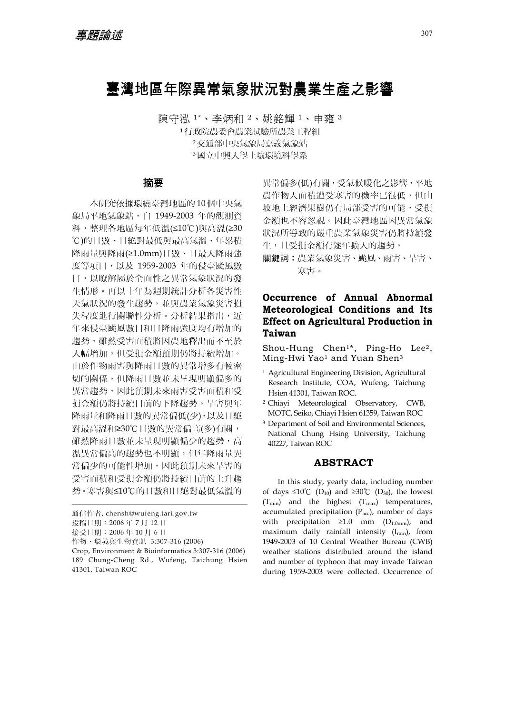# 臺灣地區年際異常氣象狀況對農業生產之影響

陳守泓 1\*、李炳和 <sup>2</sup>、姚銘輝 <sup>1</sup>、申雍 <sup>3</sup> 行政院農委會農業試驗所農業工程組 交通部中央氣象局嘉義氣象站 國立中興大學土壤環境科學系

## 摘要

本研究依據環繞臺灣地區的 10個中央氣 象局平地氣象站,自 1949-2003 年的觀測資 料,整理各地區每年低溫(≤10℃)與高溫(≥30 ℃)的日數、日絕對最低與最高氣溫、年累積 降雨量與降雨(≥1.0mm)日數、日最大降雨強 度等項目,以及 1959-2003 年的侵臺颱風數 目,以瞭解屬於全面性之異常氣象狀況的發 生情形。再以十年為週期統計分析各災害性 天氣狀況的發生趨勢,並與農業氣象災害損 失程度進行關聯性分析。分析結果指出, 沂 年來侵臺颱風數目和日降雨強度均有增加的 趨勢,雖然受害面積將因農地釋出而不至於 大幅增加,但受損金額預期仍將持續增加。 由於作物雨害與降雨日數的異常增多有較密 切的關係,但降雨日數並未呈現明顯偏多的 異常趨勢,因此預期未來雨害受害面積和受 損金額仍將持續目前的下降趨勢。旱害與年 降雨量和降雨日數的異常偏低(少),以及日絕 對最高溫和≥30℃日數的異常偏高(多)有關, 雖然降雨日數並未呈現明顯偏少的趨勢,高 溫異常偏高的趨勢也不明顯,但年降雨量異 **常偏少的可能性增加,因此預期未來旱害的** 受害面積和受損金額仍將持續目前的上升趨 勢。寒害與≤10℃的日數和日絕對最低氣溫的

接受日期:2006 年 10 月 6 日

作物、環境與生物資訊 3:307-316 (2006)

異常偏多(低)有關,受氣候暖化之影響,平地 農作物大面積遭受寒害的機率已很低,但山 坡地上經濟果樹仍有局部受害的可能,受損 金額也不容忽視。因此臺灣地區因異常氣象 狀況所導致的嚴重農業氣象災害仍將持續發 生,且受損金額有逐年擴大的趨勢。

關鍵詞︰農業氣象災害、颱風、雨害、旱害、 寒害。

## **Occurrence of Annual Abnormal Meteorological Conditions and Its Effect on Agricultural Production in Taiwan**

Shou-Hung Chen1\*, Ping-Ho Lee2, Ming-Hwi Yao<sup>1</sup> and Yuan Shen<sup>3</sup>

- 1 Agricultural Engineering Division, Agricultural Research Institute, COA, Wufeng, Taichung Hsien 41301, Taiwan ROC.
- 2 Chiayi Meteorological Observatory, CWB, MOTC, Seiko, Chiayi Hsien 61359, Taiwan ROC
- 3 Department of Soil and Environmental Sciences, National Chung Hsing University, Taichung 40227, Taiwan ROC

## **ABSTRACT**

In this study, yearly data, including number of days ≤10℃ (D<sub>10</sub>) and ≥30℃ (D<sub>30</sub>), the lowest  $(T_{min})$  and the highest  $(T_{max})$  temperatures, accumulated precipitation  $(P_{\text{acc}})$ , number of days with precipitation  $\geq 1.0$  mm (D<sub>1.0mm</sub>), and maximum daily rainfall intensity (Irain), from 1949-2003 of 10 Central Weather Bureau (CWB) weather stations distributed around the island and number of typhoon that may invade Taiwan during 1959-2003 were collected. Occurrence of

通信作者, chensh@wufeng.tari.gov.tw

投稿日期:2006 年 7 月 12 日

Crop, Environment & Bioinformatics 3:307-316 (2006) 189 Chung-Cheng Rd., Wufeng, Taichung Hsien 41301, Taiwan ROC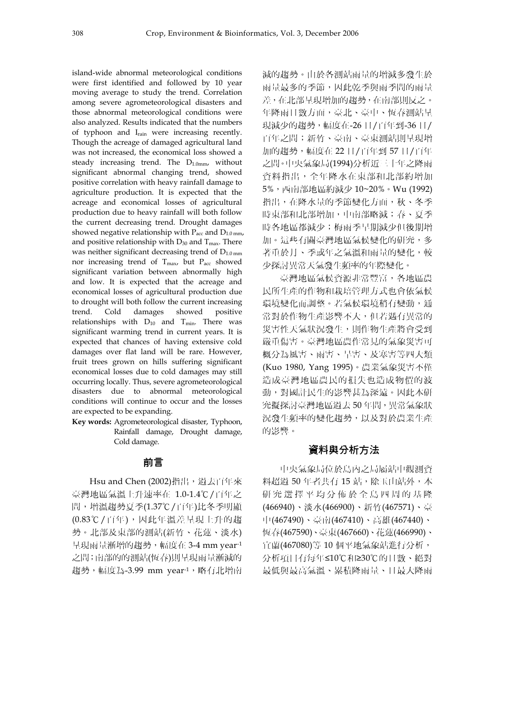island-wide abnormal meteorological conditions were first identified and followed by 10 year moving average to study the trend. Correlation among severe agrometeorological disasters and those abnormal meteorological conditions were also analyzed. Results indicated that the numbers of typhoon and Irain were increasing recently. Though the acreage of damaged agricultural land was not increased, the economical loss showed a steady increasing trend. The  $D_{1.0mm}$ , without significant abnormal changing trend, showed positive correlation with heavy rainfall damage to agriculture production. It is expected that the acreage and economical losses of agricultural production due to heavy rainfall will both follow the current decreasing trend. Drought damages showed negative relationship with  $P_{\text{acc}}$  and  $D_{1.0 \text{ mm}}$ and positive relationship with  $D_{30}$  and  $T_{\text{max}}$ . There was neither significant decreasing trend of  $D_{1.0 \text{ mm}}$ nor increasing trend of  $T_{\text{max}}$ , but  $P_{\text{acc}}$  showed significant variation between abnormally high and low. It is expected that the acreage and economical losses of agricultural production due to drought will both follow the current increasing trend. Cold damages showed positive relationships with  $D_{10}$  and  $T_{min}$ . There was significant warming trend in current years. It is expected that chances of having extensive cold damages over flat land will be rare. However, fruit trees grown on hills suffering significant economical losses due to cold damages may still occurring locally. Thus, severe agrometeorological disasters due to abnormal meteorological conditions will continue to occur and the losses are expected to be expanding.

**Key words:** Agrometeorological disaster, Typhoon, Rainfall damage, Drought damage, Cold damage.

### 前言

Hsu and Chen (2002)指出, 過去百年來 臺灣地區氣溫上升速率在 1.0-1.4℃/百年之 間,增溫趨勢夏季(1.37℃/百年)比冬季明顯 (0.83℃/百年),因此年溫差呈現上升的趨 勢。北部及東部的測站(新竹、花蓮、淡水) 呈現雨量漸增的趨勢,幅度在 3-4 mm year-1 之間;南部的的測站(恆春)則呈現雨量漸減的 趨勢,幅度為-3.99 mm year-1,略有北增南

減的趨勢。由於各測站雨量的增減多發生於 雨量最多的季節,因此乾季與雨季間的雨量 差,在北部呈現增加的趨勢,在南部則反之。 年降雨日數方面,臺北、臺中、恆春測站呈 現減少的趨勢,幅度在-26 日/百年到-36 日/ 百年之間;新竹、臺南、臺東測站則呈現增 加的趨勢,幅度在 22 日/百年到 57 日/百年 之間。中央氣象局(1994)分析近三十年之降雨 資料指出,全年降水在東部和北部約增加 5%,西南部地區約減少 10~20%。Wu (1992) 指出,在降水量的季節變化方面,秋、冬季 時東部和北部增加,中南部略減;春、夏季 時各地區都減少;梅雨季早期減少但後期增 加。這些有關臺灣地區氣候變化的研究,多 著重於月、季或年之氣溫和雨量的變化,較 少探討異常天氣發生頻率的年際變化。

臺灣地區氣候資源非常豐富,各地區農 民所生產的作物和栽培管理方式也會依氣候 環境變化而調整。若氣候環境稍有變動,通 常對於作物生產影響不大,但若遇有異常的 災害性天氣狀況發生,則作物生產將會受到 嚴重傷害。臺灣地區農作常見的氣象災害可 概分為風害、雨害、旱害、及寒害等四大類 (Kuo 1980, Yang 1995)。農業氣象災害不僅 造成臺灣地區農民的損失也造成物價的波 動,對國計民生的影響甚為深遠。因此本研 究擬探討臺灣地區過去50年間, 異常氣象狀 況發生頻率的變化趨勢,以及對於農業生產 的影響。

#### 資料與分析方法

中央氣象局位於島內之局屬站中觀測資 料超過 50年者共有 15 站,除玉山站外,本 研究選擇平均分佈於全島四周的基隆 (466940)、淡水(466900)、新竹(467571)、臺 中(467490)、臺南(467410)、高雄(467440)、 恆春(467590)、臺東(467660)、花蓮(466990)、 宜蘭(467080)等 10 個平地氣象站進行分析, 分析項目有每年≤10℃和≥30℃的日數、絕對 最低與最高氣溫、累積降雨量、日最大降雨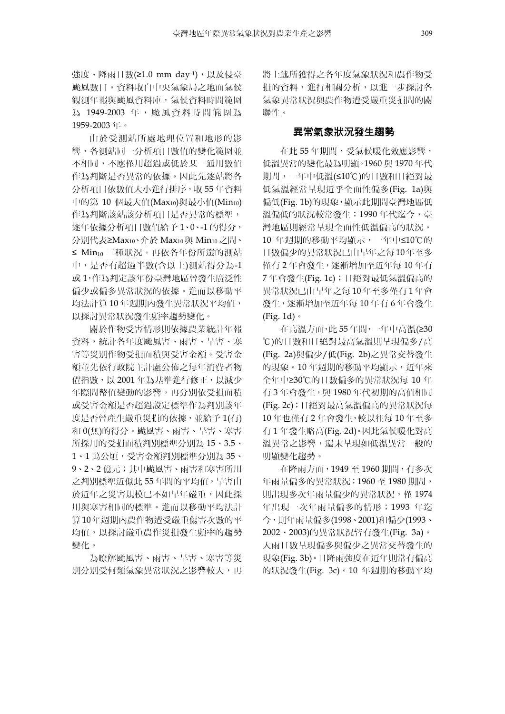強度、降雨日數(≥1.0 mm day-1), 以及侵臺 颱風數目。資料取自中央氣象局之地面氣候 觀測年報與颱風資料庫,氣候資料時間範圍 為 1949-2003 年,颱風資料時間範圍為 1959-2003 年。

由於受測站所處地理位置和地形的影 響,各測站同一分析項目數值的變化範圍並 不相同,不應僅用超過或低於某一通用數值 作為判斷是否異常的依據。因此先逐站將各 分析項目依數值大小進行排序,取 55 年資料 中的第 10 個最大值 $(Max_{10})$ 與最小值 $(Min_{10})$ 作為判斷該站該分析項目是否異常的標準, 逐年依據分析項目數值給予 1、0、-1 的得分, 分別代表≥Max10、介於 Max10 與 Min10 之間、 ≤ Min10 三種狀況。再依各年份所選的測站 中,是否有超過半數(含以上)測站得分為-1 或 1,作為判定該年份臺灣地區曾發生廣泛性 偏少或偏多異常狀況的依據。進而以移動平 均法計算 10 年週期內發生異常狀況平均值, 以探討異常狀況發生頻率趨勢變化。

關於作物受害情形則依據農業統計年報 資料,統計各年度颱風害、雨害、旱害、寒 害等災別作物受損面積與受害金額。受害金 額並先依行政院主計處公佈之每年消費者物 價指數,以 2001 年為基準進行修正,以減少 年際間幣值變動的影響。再分別依受損面積 或受害金額是否超過設定標準作為判別該年 度是否曾產生嚴重災損的依據,並給予 1(有) 和 0(無)的得分。颱風害、雨害、旱害、寒害 所採用的受損面積判別標準分別為 15、3.5、 1、1 萬公頃,受害金額判別標準分別為 35、 9、2、2 億元;其中颱風害、雨害和寒害所用 之判別標準近似此 55 年間的平均值,旱害由 於近年之災害規模已不如早年嚴重,因此採 用與寒害相同的標準。進而以移動平均法計 算 10年週期內農作物遭受嚴重傷害次數的平 均值,以探討嚴重農作災損發生頻率的趨勢 變化。

為瞭解颱風害、雨害、旱害、寒害等災 別分別受何類氣象異常狀況之影響較大,再 將上述所獲得之各年度氣象狀況和農作物受 損的資料,進行相關分析,以進一步探討各 氣象異常狀況與農作物遭受嚴重災損間的關 聯性。

#### 異常氣象狀況發生趨勢

在此 55 年期間,受氣候暖化效應影響, 低溫異常的變化最為明顯。1960 與 1970 年代 期間,一年中低溫(≤10℃)的日數和日絕對最 低氣溫經常呈現近乎全面性偏多(Fig. 1a)與 偏低(Fig. 1b)的現象,顯示此期間臺灣地區低 溫偏低的狀況較常發生;1990 年代迄今,臺 灣地區則經常呈現全面性低溫偏高的狀況。 10 年週期的移動平均顯示,一年中≤10℃的 日數偏少的異常狀況已由早年之每 10 年至多 僅有 2 年會發生,逐漸增加至近年每 10 年有 7 年會發生(Fig. 1c);日絕對最低氣溫偏高的 異常狀況已由早年之每 10 年至多僅有 1 年會 發生,逐漸增加至近年每 10 年有 6 年會發生 (Fig. 1d)。

在高溫方面,此 55 年間,一年中高溫(≥30 ℃)的日數和日絕對最高氣溫則呈現偏多/高 (Fig. 2a)與偏少/低(Fig. 2b)之異常交替發生 的現象。10年週期的移動平均顯示,近年來 全年中≥30℃的日數偏多的異常狀況每 10 年 有 3 年會發生, 與 1980 年代初期的高值相同 (Fig. 2c);日絕對最高氣溫偏高的異常狀況每 10 年也僅有 2 年會發生,較以往每 10 年至多 有 1 年發生略高(Fig. 2d)。因此氣候暖化對高 溫異常之影響,還未呈現如低溫異常一般的 明顯變化趨勢。

在降雨方面,1949 至 1960 期間,有多次 年雨量偏多的異常狀況;1960 至 1980 期間, 則出現多次年雨量偏少的異常狀況,僅 1974 年出現一次年雨量偏多的情形;1993 年迄 今,則年雨量偏多(1998、2001)和偏少(1993、 2002、2003)的異常狀況皆有發生(Fig. 3a)。 大雨日數呈現偏多與偏少之異常交替發生的 現象(Fig. 3b)。日降雨強度在近年則常有偏高 的狀況發生(Fig. 3c)。10 年週期的移動平均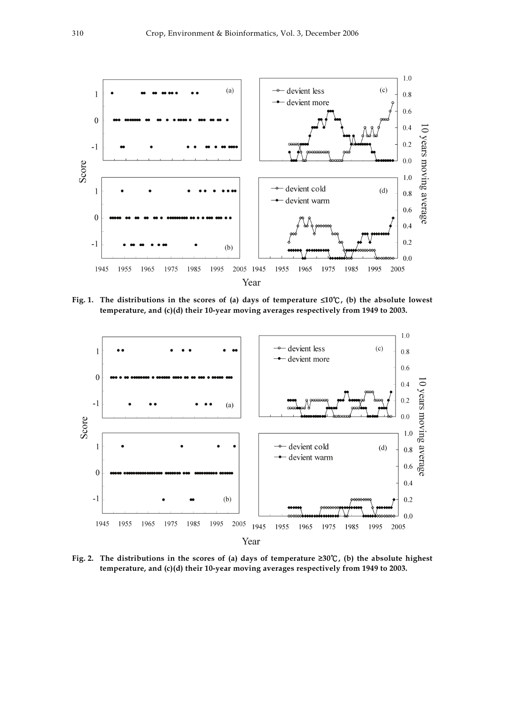

**Fig. 1. The distributions in the scores of (a) days of temperature** ≤**10**℃**, (b) the absolute lowest temperature, and (c)(d) their 10-year moving averages respectively from 1949 to 2003.** 



**Fig. 2. The distributions in the scores of (a) days of temperature ≥30**℃**, (b) the absolute highest temperature, and (c)(d) their 10-year moving averages respectively from 1949 to 2003.**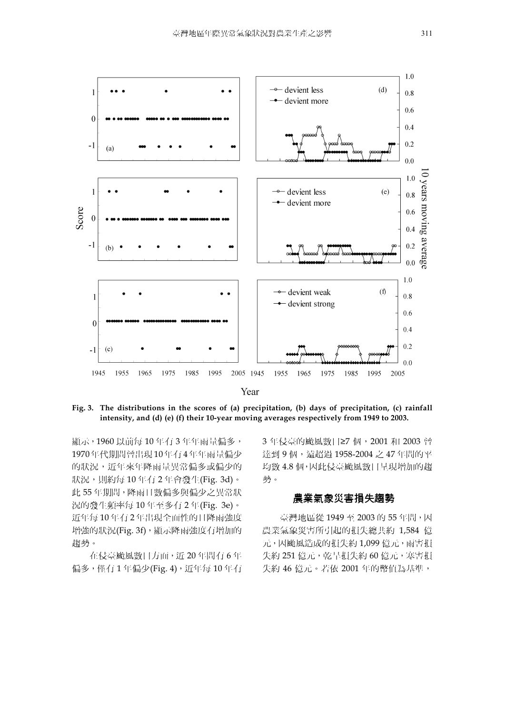

**Fig. 3. The distributions in the scores of (a) precipitation, (b) days of precipitation, (c) rainfall intensity, and (d) (e) (f) their 10-year moving averages respectively from 1949 to 2003.** 

顯示,1960 以前每 10 年有 3 年年雨量偏多, 1970 年代期間曾出現 10 年有 4 年年雨量偏少 的狀況,近年來年降雨量異常偏多或偏少的 狀況,則約每 10 年有 2 年會發生(Fig. 3d)。 此 55 年期間,降雨日數偏多與偏少之異常狀 況的發生頻率每 10 年至多有 2 年(Fig. 3e)。 近年每 10 年有 2 年出現全面性的日降雨強度 增強的狀況(Fig. 3f),顯示降雨強度有增加的 趨勢。

在侵臺颱風數目方面,近 20 年間有 6 年 偏多, 僅有1年偏少(Fig. 4), 近年每 10年有 3年侵臺的颱風數目≥7個, 2001和 2003 曾 達到 9 個,遠超過 1958-2004 之 47 年間的平 均數 4.8 個,因此侵臺颱風數目呈現增加的趨 勢。

## 農業氣象災害損失趨勢

臺灣地區從 1949 至 2003 的 55 年間,因 農業氣象災害所引起的損失總共約 1,584 億 元,因颱風造成的損失約 1,099 億元,雨害損 失約 251 億元,乾旱損失約 60 億元,寒害損 失約 46 億元。若依 2001 年的幣值為基準,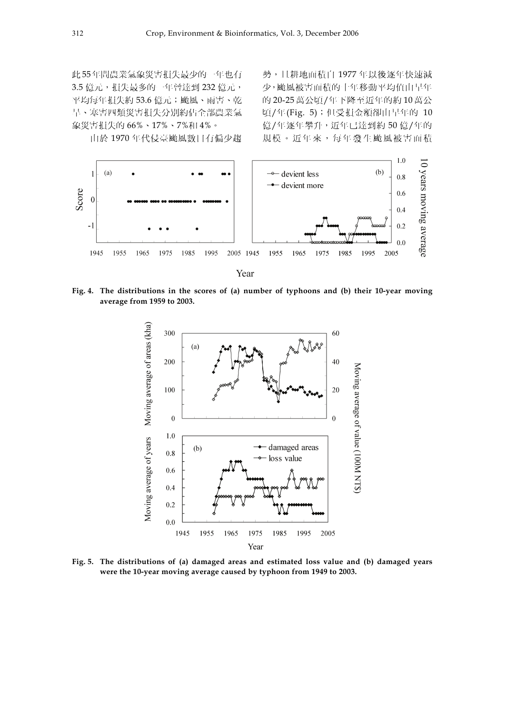此 55年間農業氣象災害損失最少的一年也有 3.5 億元,損失最多的一年曾達到 232 億元, 平均每年損失約 53.6 億元;颱風、雨害、乾 旱、寒害四類災害損失分別約佔全部農業氣 象災害損失的 66%、17%、7%和 4%。

勢,且耕地面積自 1977 年以後逐年快速減 少,颱風被害面積的十年移動平均值由早年 的 20-25 萬公頃/年下降至近年的約 10 萬公 頃/年(Fig. 5);但受損金額卻由早年的 10 億/年逐年攀升,近年已達到約 50 億/年的 規模。近年來,每年發生颱風被害面積

由於 1970 年代侵臺颱風數目有偏少趨



**Fig. 4. The distributions in the scores of (a) number of typhoons and (b) their 10-year moving average from 1959 to 2003.** 



**Fig. 5. The distributions of (a) damaged areas and estimated loss value and (b) damaged years were the 10-year moving average caused by typhoon from 1949 to 2003.**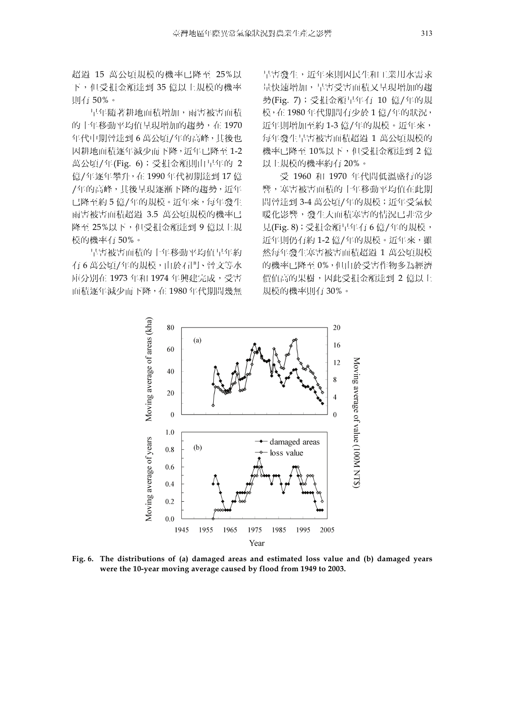超過 15 萬公頃規模的機率已降至 25%以 下,但受損金額達到 35 億以上規模的機率 則有 50%。

早年隨著耕地面積增加,雨害被害面積 的十年移動平均值呈現增加的趨勢,在 1970 年代中期曾達到 6 萬公頃/年的高峰,其後也 因耕地面積逐年減少而下降,近年已降至 1-2 萬公頃/年(Fig. 6);受損金額則由早年的 2 億/年逐年攀升,在 1990 年代初期達到 17 億 /年的高峰,其後呈現逐漸下降的趨勢,近年 已降至約 5 億/年的規模。近年來,每年發生 雨害被害面積超過 3.5 萬公頃規模的機率已 降至 25%以下,但受損金額達到 9 億以上規 模的機率有 50%。

旱害被害面積的十年移動平均值早年約 有 6 萬公頃/年的規模,由於石門、曾文等水 庫分別在 1973 年和 1974 年興建完成,受害 面積逐年減少而下降,在 1980 年代期間幾無

旱害發生,近年來則因民生和工業用水需求 量快速增加,旱害受害面積又呈現增加的趨 勢(Fig. 7);受損金額早年有 10 億/年的規 模,在 1980 年代期間有少於 1 億/年的狀況, 近年則增加至約 1-3 億/年的規模。近年來, 每年發生旱害被害面積超過 1 萬公頃規模的 機率已降至 10%以下,但受損金額達到 2 億 以上規模的機率約有 20%。

受 1960 和 1970 年代間低溫盛行的影 響,寒害被害面積的十年移動平均值在此期 間曾達到 3-4 萬公頃/年的規模; 近年受氣候 暖化影響,發生大面積寒害的情況已非常少 見(Fig. 8);受損金額早年有 6 億/年的規模, 近年則仍有約 1-2億/年的規模。近年來,雖 然每年發生寒害被害面積超過 1 萬公頃規模 的機率已降至 0%,但由於受害作物多為經濟 價值高的果樹,因此受損金額達到 2 億以上 規模的機率則有 30%。



**Fig. 6. The distributions of (a) damaged areas and estimated loss value and (b) damaged years were the 10-year moving average caused by flood from 1949 to 2003.**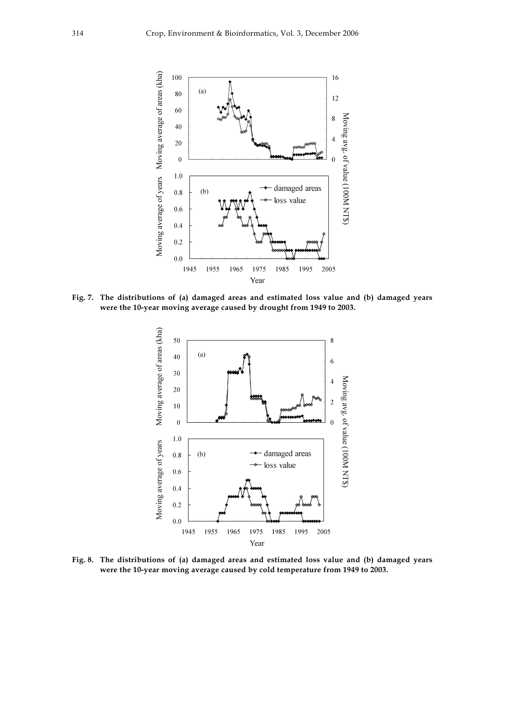

**Fig. 7. The distributions of (a) damaged areas and estimated loss value and (b) damaged years were the 10-year moving average caused by drought from 1949 to 2003.** 



**Fig. 8. The distributions of (a) damaged areas and estimated loss value and (b) damaged years were the 10-year moving average caused by cold temperature from 1949 to 2003.**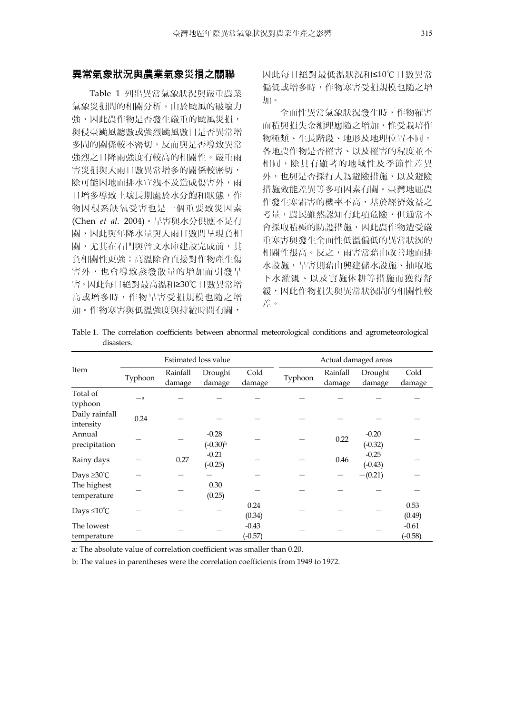## 異常氣象狀況與農業氣象災損之關聯

Table 1 列出異常氣象狀況與嚴重農業 氣象災損間的相關分析。由於颱風的破壞力 強,因此農作物是否發生嚴重的颱風災損, 與侵臺颱風總數或強烈颱風數目是否異常增 多間的關係較不密切,反而與是否導致異常 強烈之日降雨強度有較高的相關性。嚴重雨 害災損與大雨日數異常增多的關係較密切, 除可能因地面排水宣洩不及造成傷害外,雨 日增多導致土壤長期處於水分飽和狀態,作 物因根系缺氧受害也是一個重要致災因素 (Chen *et al.* 2004)。旱害與水分供應不足有 關,因此與年降水量與大雨日數間呈現負相 關,尤其在石門與曾文水庫建設完成前,其 負相關性更強;高溫除會直接對作物產生傷 害外,也會導致蒸發散量的增加而引發旱 害,因此每日絕對最高溫和≥30℃日數異常增 高或增多時,作物旱害受損規模也隨之增 加。作物寒害與低溫強度與持續時間有關,

因此每日絕對最低溫狀況和≤10℃日數異常 偏低或增多時,作物寒害受損規模也隨之增 加。

全面性異常氣象狀況發生時,作物罹害 面積與損失金額理應隨之增加,惟受栽培作 物種類、生長階段、地形及地理位置不同, 各地農作物是否罹害、以及罹害的程度並不 相同,除具有顯著的地域性及季節性差異 外,也與是否採行人為避險措施,以及避險 措施效能差異等多項因素有關。臺灣地區農 作發生寒霜害的機率不高,基於經濟效益之 考量,農民雖然認知有此項危險,但通常不 會採取積極的防護措施,因此農作物遭受嚴 重寒害與發生全面性低溫偏低的異常狀況的 相關性很高。反之,雨害常藉由改善地面排 水設施,旱害則藉由興建儲水設施、抽取地 下水灌溉、以及實施休耕等措施而獲得舒 緩,因此作物損失與異常狀況間的相關性較 差。

Table 1. The correlation coefficients between abnormal meteorological conditions and agrometeorological disasters.

| Item                        | Estimated loss value |                    |                       |                      | Actual damaged areas |                    |                      |                      |
|-----------------------------|----------------------|--------------------|-----------------------|----------------------|----------------------|--------------------|----------------------|----------------------|
|                             | Typhoon              | Rainfall<br>damage | Drought<br>damage     | Cold<br>damage       | Typhoon              | Rainfall<br>damage | Drought<br>damage    | Cold<br>damage       |
| Total of<br>typhoon         | $-a$                 |                    |                       |                      |                      |                    |                      |                      |
| Daily rainfall<br>intensity | 0.24                 |                    |                       |                      |                      |                    |                      |                      |
| Annual<br>precipitation     |                      |                    | $-0.28$<br>$(-0.30)b$ |                      |                      | 0.22               | $-0.20$<br>$(-0.32)$ |                      |
| Rainy days                  |                      | 0.27               | $-0.21$<br>$(-0.25)$  |                      |                      | 0.46               | $-0.25$<br>$(-0.43)$ |                      |
| Days $\geq 30^{\circ}$ C    |                      |                    |                       |                      |                      |                    | $-(0.21)$            |                      |
| The highest<br>temperature  |                      |                    | 0.30<br>(0.25)        |                      |                      |                    |                      |                      |
| Days $\leq 10^{\circ}$ C    |                      |                    |                       | 0.24<br>(0.34)       |                      |                    |                      | 0.53<br>(0.49)       |
| The lowest<br>temperature   |                      |                    |                       | $-0.43$<br>$(-0.57)$ |                      |                    |                      | $-0.61$<br>$(-0.58)$ |

a: The absolute value of correlation coefficient was smaller than 0.20.

b: The values in parentheses were the correlation coefficients from 1949 to 1972.